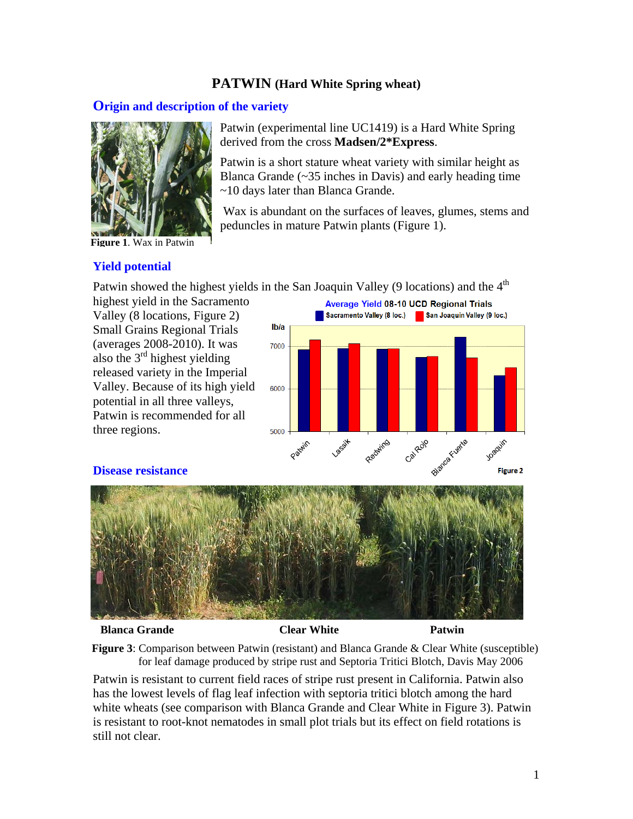# **PATWIN (Hard White Spring wheat)**

derived from the cross **Madsen/2\*Express**.

peduncles in mature Patwin plants (Figure 1).

Patwin (experimental line UC1419) is a Hard White Spring

Patwin is a short stature wheat variety with similar height as Blanca Grande  $(\sim 35$  inches in Davis) and early heading time

Wax is abundant on the surfaces of leaves, glumes, stems and

# **Origin and description of the variety**



**Figure 1**. Wax in Patwin

## **Yield potential**

Patwin showed the highest yields in the San Joaquin Valley (9 locations) and the  $4<sup>th</sup>$ 

~10 days later than Blanca Grande.

highest yield in the Sacramento Valley (8 locations, Figure 2) Small Grains Regional Trials (averages 2008-2010). It was also the 3rd highest yielding released variety in the Imperial Valley. Because of its high yield potential in all three valleys, Patwin is recommended for all three regions.

**Average Yield 08-10 UCD Regional Trials** Sacramento Valley (8 loc.) San Joaquin Valley (9 loc.) **Ib/a** 7000 6000 5000 starca Fuerte Redwing Calgado Joaquin **Desity** Patelin **Figure 2** 





**Blanca Grande Clear White Patwin** 

**Figure 3**: Comparison between Patwin (resistant) and Blanca Grande & Clear White (susceptible) for leaf damage produced by stripe rust and Septoria Tritici Blotch, Davis May 2006

Patwin is resistant to current field races of stripe rust present in California. Patwin also has the lowest levels of flag leaf infection with septoria tritici blotch among the hard white wheats (see comparison with Blanca Grande and Clear White in Figure 3). Patwin is resistant to root-knot nematodes in small plot trials but its effect on field rotations is still not clear.